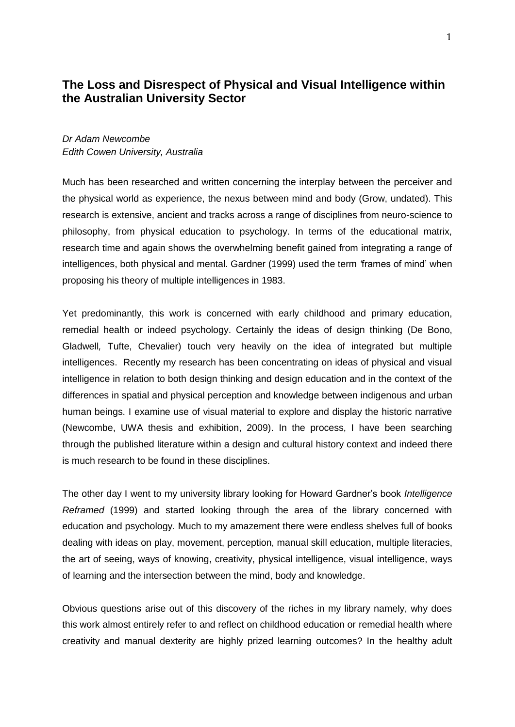# **The Loss and Disrespect of Physical and Visual Intelligence within the Australian University Sector**

## *Dr Adam Newcombe Edith Cowen University, Australia*

Much has been researched and written concerning the interplay between the perceiver and the physical world as experience, the nexus between mind and body (Grow, undated). This research is extensive, ancient and tracks across a range of disciplines from neuro-science to philosophy, from physical education to psychology. In terms of the educational matrix, research time and again shows the overwhelming benefit gained from integrating a range of intelligences, both physical and mental. Gardner (1999) used the term *'*frames of mind' when proposing his theory of multiple intelligences in 1983.

Yet predominantly, this work is concerned with early childhood and primary education, remedial health or indeed psychology. Certainly the ideas of design thinking (De Bono, Gladwell*,* Tufte, Chevalier) touch very heavily on the idea of integrated but multiple intelligences. Recently my research has been concentrating on ideas of physical and visual intelligence in relation to both design thinking and design education and in the context of the differences in spatial and physical perception and knowledge between indigenous and urban human beings. I examine use of visual material to explore and display the historic narrative (Newcombe, UWA thesis and exhibition, 2009). In the process, I have been searching through the published literature within a design and cultural history context and indeed there is much research to be found in these disciplines.

The other day I went to my university library looking for Howard Gardner's book *Intelligence Reframed* (1999) and started looking through the area of the library concerned with education and psychology. Much to my amazement there were endless shelves full of books dealing with ideas on play, movement, perception, manual skill education, multiple literacies, the art of seeing, ways of knowing, creativity, physical intelligence, visual intelligence, ways of learning and the intersection between the mind, body and knowledge.

Obvious questions arise out of this discovery of the riches in my library namely, why does this work almost entirely refer to and reflect on childhood education or remedial health where creativity and manual dexterity are highly prized learning outcomes? In the healthy adult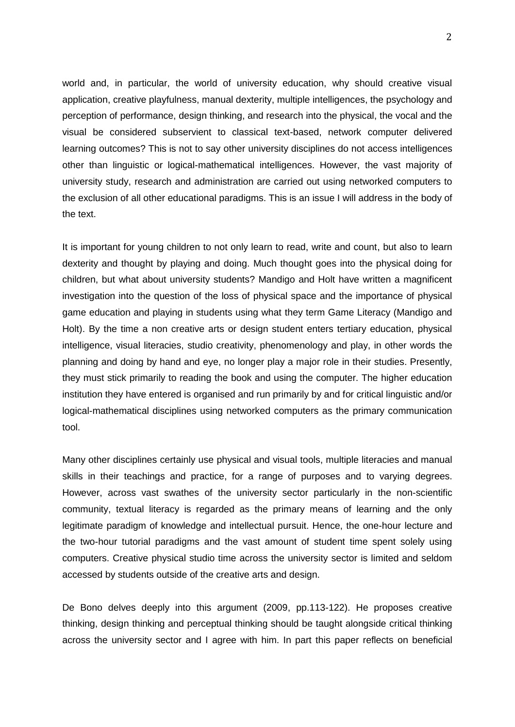world and, in particular, the world of university education, why should creative visual application, creative playfulness, manual dexterity, multiple intelligences, the psychology and perception of performance, design thinking, and research into the physical, the vocal and the visual be considered subservient to classical text-based, network computer delivered learning outcomes? This is not to say other university disciplines do not access intelligences other than linguistic or logical-mathematical intelligences. However, the vast majority of university study, research and administration are carried out using networked computers to the exclusion of all other educational paradigms. This is an issue I will address in the body of the text.

It is important for young children to not only learn to read, write and count, but also to learn dexterity and thought by playing and doing. Much thought goes into the physical doing for children, but what about university students? Mandigo and Holt have written a magnificent investigation into the question of the loss of physical space and the importance of physical game education and playing in students using what they term Game Literacy (Mandigo and Holt). By the time a non creative arts or design student enters tertiary education, physical intelligence, visual literacies, studio creativity, phenomenology and play, in other words the planning and doing by hand and eye, no longer play a major role in their studies. Presently, they must stick primarily to reading the book and using the computer. The higher education institution they have entered is organised and run primarily by and for critical linguistic and/or logical-mathematical disciplines using networked computers as the primary communication tool.

Many other disciplines certainly use physical and visual tools, multiple literacies and manual skills in their teachings and practice, for a range of purposes and to varying degrees. However, across vast swathes of the university sector particularly in the non-scientific community, textual literacy is regarded as the primary means of learning and the only legitimate paradigm of knowledge and intellectual pursuit. Hence, the one-hour lecture and the two-hour tutorial paradigms and the vast amount of student time spent solely using computers. Creative physical studio time across the university sector is limited and seldom accessed by students outside of the creative arts and design.

De Bono delves deeply into this argument (2009, pp.113-122). He proposes creative thinking, design thinking and perceptual thinking should be taught alongside critical thinking across the university sector and I agree with him. In part this paper reflects on beneficial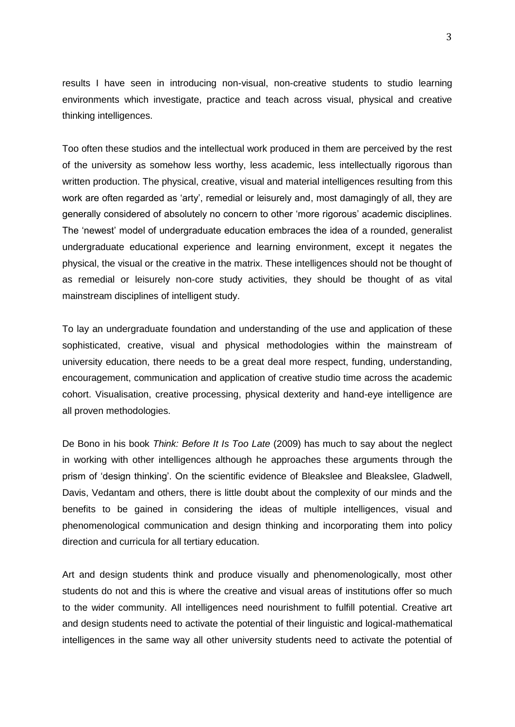results I have seen in introducing non-visual, non-creative students to studio learning environments which investigate, practice and teach across visual, physical and creative thinking intelligences.

Too often these studios and the intellectual work produced in them are perceived by the rest of the university as somehow less worthy, less academic, less intellectually rigorous than written production. The physical, creative, visual and material intelligences resulting from this work are often regarded as 'arty', remedial or leisurely and, most damagingly of all, they are generally considered of absolutely no concern to other 'more rigorous' academic disciplines. The 'newest' model of undergraduate education embraces the idea of a rounded, generalist undergraduate educational experience and learning environment, except it negates the physical, the visual or the creative in the matrix. These intelligences should not be thought of as remedial or leisurely non-core study activities, they should be thought of as vital mainstream disciplines of intelligent study.

To lay an undergraduate foundation and understanding of the use and application of these sophisticated, creative, visual and physical methodologies within the mainstream of university education, there needs to be a great deal more respect, funding, understanding, encouragement, communication and application of creative studio time across the academic cohort. Visualisation, creative processing, physical dexterity and hand-eye intelligence are all proven methodologies.

De Bono in his book *Think: Before It Is Too Late* (2009) has much to say about the neglect in working with other intelligences although he approaches these arguments through the prism of 'design thinking'. On the scientific evidence of Bleakslee and Bleakslee, Gladwell, Davis, Vedantam and others, there is little doubt about the complexity of our minds and the benefits to be gained in considering the ideas of multiple intelligences, visual and phenomenological communication and design thinking and incorporating them into policy direction and curricula for all tertiary education.

Art and design students think and produce visually and phenomenologically, most other students do not and this is where the creative and visual areas of institutions offer so much to the wider community. All intelligences need nourishment to fulfill potential. Creative art and design students need to activate the potential of their linguistic and logical-mathematical intelligences in the same way all other university students need to activate the potential of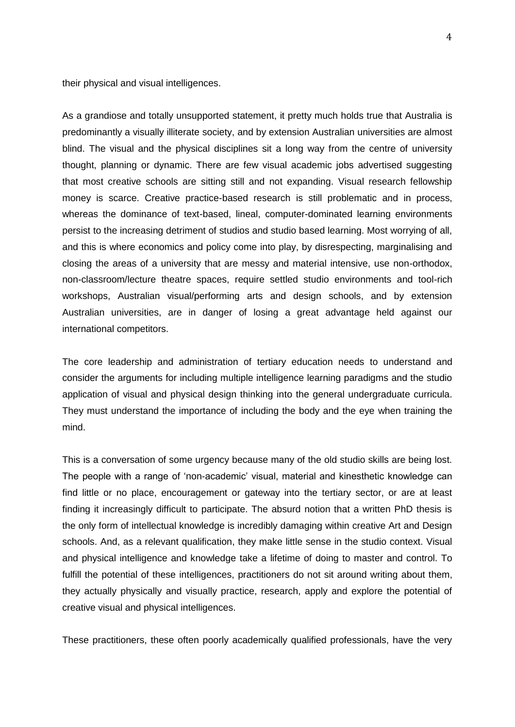their physical and visual intelligences.

As a grandiose and totally unsupported statement, it pretty much holds true that Australia is predominantly a visually illiterate society, and by extension Australian universities are almost blind. The visual and the physical disciplines sit a long way from the centre of university thought, planning or dynamic. There are few visual academic jobs advertised suggesting that most creative schools are sitting still and not expanding. Visual research fellowship money is scarce. Creative practice-based research is still problematic and in process, whereas the dominance of text-based, lineal, computer-dominated learning environments persist to the increasing detriment of studios and studio based learning. Most worrying of all, and this is where economics and policy come into play, by disrespecting, marginalising and closing the areas of a university that are messy and material intensive, use non-orthodox, non-classroom/lecture theatre spaces, require settled studio environments and tool-rich workshops, Australian visual/performing arts and design schools, and by extension Australian universities, are in danger of losing a great advantage held against our international competitors.

The core leadership and administration of tertiary education needs to understand and consider the arguments for including multiple intelligence learning paradigms and the studio application of visual and physical design thinking into the general undergraduate curricula. They must understand the importance of including the body and the eye when training the mind.

This is a conversation of some urgency because many of the old studio skills are being lost. The people with a range of 'non-academic' visual, material and kinesthetic knowledge can find little or no place, encouragement or gateway into the tertiary sector, or are at least finding it increasingly difficult to participate. The absurd notion that a written PhD thesis is the only form of intellectual knowledge is incredibly damaging within creative Art and Design schools. And, as a relevant qualification, they make little sense in the studio context. Visual and physical intelligence and knowledge take a lifetime of doing to master and control. To fulfill the potential of these intelligences, practitioners do not sit around writing about them, they actually physically and visually practice, research, apply and explore the potential of creative visual and physical intelligences.

These practitioners, these often poorly academically qualified professionals, have the very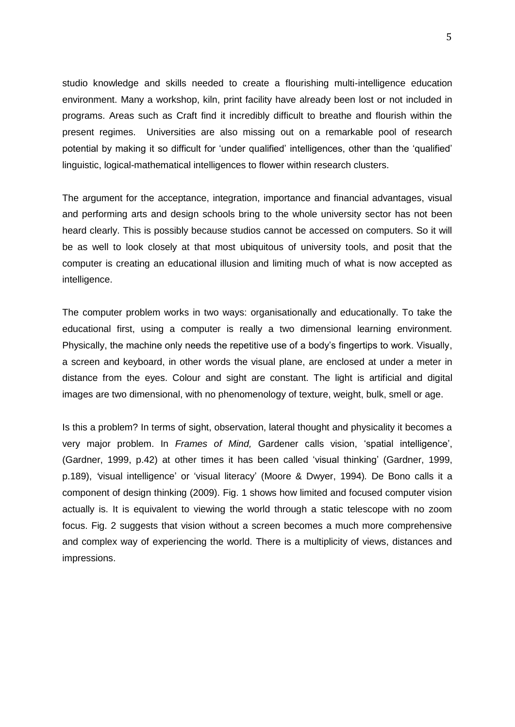studio knowledge and skills needed to create a flourishing multi-intelligence education environment. Many a workshop, kiln, print facility have already been lost or not included in programs. Areas such as Craft find it incredibly difficult to breathe and flourish within the present regimes. Universities are also missing out on a remarkable pool of research potential by making it so difficult for 'under qualified' intelligences, other than the 'qualified' linguistic, logical-mathematical intelligences to flower within research clusters.

The argument for the acceptance, integration, importance and financial advantages, visual and performing arts and design schools bring to the whole university sector has not been heard clearly. This is possibly because studios cannot be accessed on computers. So it will be as well to look closely at that most ubiquitous of university tools, and posit that the computer is creating an educational illusion and limiting much of what is now accepted as intelligence.

The computer problem works in two ways: organisationally and educationally. To take the educational first, using a computer is really a two dimensional learning environment. Physically, the machine only needs the repetitive use of a body's fingertips to work. Visually, a screen and keyboard, in other words the visual plane, are enclosed at under a meter in distance from the eyes. Colour and sight are constant. The light is artificial and digital images are two dimensional, with no phenomenology of texture, weight, bulk, smell or age.

Is this a problem? In terms of sight, observation, lateral thought and physicality it becomes a very major problem. In *Frames of Mind,* Gardener calls vision, 'spatial intelligence', (Gardner, 1999, p.42) at other times it has been called 'visual thinking' (Gardner, 1999, p.189), *'*visual intelligence' or 'visual literacy' (Moore & Dwyer, 1994)*.* De Bono calls it a component of design thinking (2009). Fig. 1 shows how limited and focused computer vision actually is. It is equivalent to viewing the world through a static telescope with no zoom focus. Fig. 2 suggests that vision without a screen becomes a much more comprehensive and complex way of experiencing the world. There is a multiplicity of views, distances and impressions.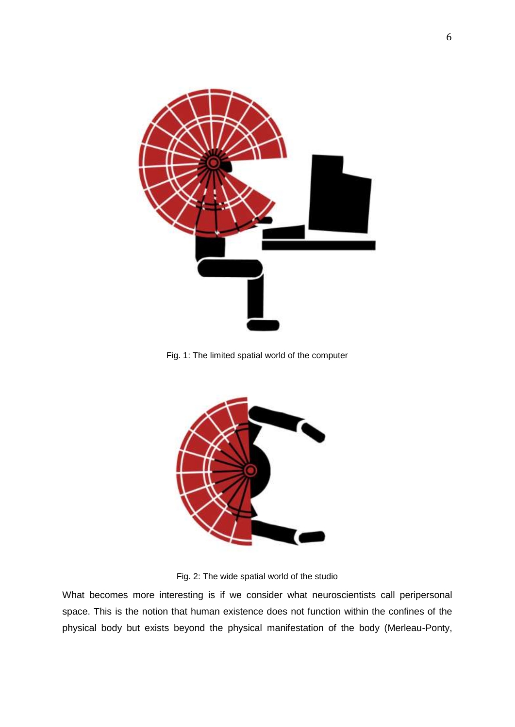

Fig. 1: The limited spatial world of the computer



Fig. 2: The wide spatial world of the studio

What becomes more interesting is if we consider what neuroscientists call peripersonal space. This is the notion that human existence does not function within the confines of the physical body but exists beyond the physical manifestation of the body (Merleau-Ponty,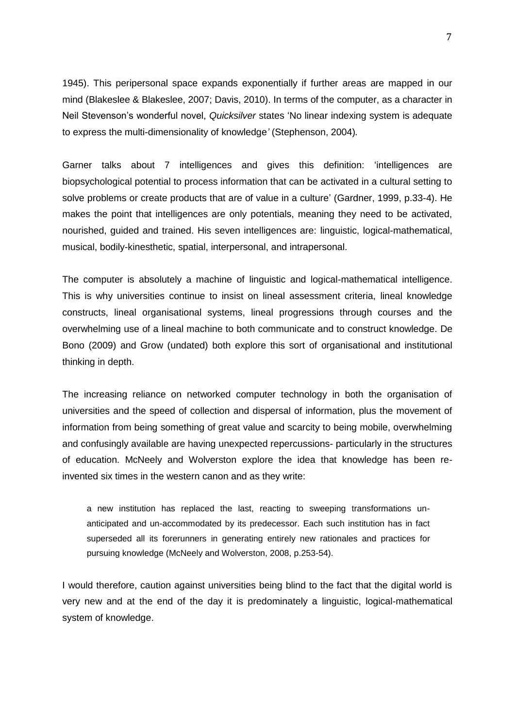1945). This peripersonal space expands exponentially if further areas are mapped in our mind (Blakeslee & Blakeslee, 2007; Davis, 2010). In terms of the computer, as a character in Neil Stevenson's wonderful novel, *Quicksilver* states 'No linear indexing system is adequate to express the multi-dimensionality of knowledge*'* (Stephenson, 2004)*.*

Garner talks about 7 intelligences and gives this definition: 'intelligences are biopsychological potential to process information that can be activated in a cultural setting to solve problems or create products that are of value in a culture' (Gardner, 1999, p.33-4). He makes the point that intelligences are only potentials, meaning they need to be activated, nourished, guided and trained. His seven intelligences are: linguistic, logical-mathematical, musical, bodily-kinesthetic, spatial, interpersonal, and intrapersonal.

The computer is absolutely a machine of linguistic and logical-mathematical intelligence. This is why universities continue to insist on lineal assessment criteria, lineal knowledge constructs, lineal organisational systems, lineal progressions through courses and the overwhelming use of a lineal machine to both communicate and to construct knowledge. De Bono (2009) and Grow (undated) both explore this sort of organisational and institutional thinking in depth.

The increasing reliance on networked computer technology in both the organisation of universities and the speed of collection and dispersal of information, plus the movement of information from being something of great value and scarcity to being mobile, overwhelming and confusingly available are having unexpected repercussions- particularly in the structures of education. McNeely and Wolverston explore the idea that knowledge has been reinvented six times in the western canon and as they write:

a new institution has replaced the last, reacting to sweeping transformations unanticipated and un-accommodated by its predecessor. Each such institution has in fact superseded all its forerunners in generating entirely new rationales and practices for pursuing knowledge (McNeely and Wolverston, 2008, p.253-54).

I would therefore, caution against universities being blind to the fact that the digital world is very new and at the end of the day it is predominately a linguistic, logical-mathematical system of knowledge.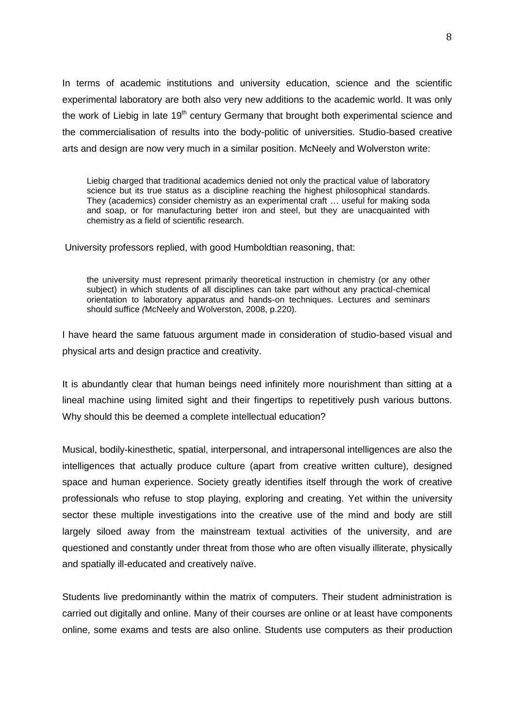In terms of academic institutions and university education, science and the scientific experimental laboratory are both also very new additions to the academic world. It was only the work of Liebig in late  $19<sup>th</sup>$  century Germany that brought both experimental science and the commercialisation of results into the body-politic of universities. Studio-based creative arts and design are now very much in a similar position. McNeely and Wolverston write:

Liebig charged that traditional academics denied not only the practical value of laboratory science but its true status as a discipline reaching the highest philosophical standards. They (academics) consider chemistry as an experimental craft … useful for making soda and soap, or for manufacturing better iron and steel, but they are unacquainted with chemistry as a field of scientific research.

University professors replied, with good Humboldtian reasoning, that:

the university must represent primarily theoretical instruction in chemistry (or any other subject) in which students of all disciplines can take part without any practical-chemical orientation to laboratory apparatus and hands-on techniques. Lectures and seminars should suffice *(*McNeely and Wolverston, 2008, p.220)*.* 

I have heard the same fatuous argument made in consideration of studio-based visual and physical arts and design practice and creativity.

It is abundantly clear that human beings need infinitely more nourishment than sitting at a lineal machine using limited sight and their fingertips to repetitively push various buttons. Why should this be deemed a complete intellectual education?

Musical, bodily-kinesthetic, spatial, interpersonal, and intrapersonal intelligences are also the intelligences that actually produce culture (apart from creative written culture), designed space and human experience. Society greatly identifies itself through the work of creative professionals who refuse to stop playing, exploring and creating. Yet within the university sector these multiple investigations into the creative use of the mind and body are still largely siloed away from the mainstream textual activities of the university, and are questioned and constantly under threat from those who are often visually illiterate, physically and spatially ill-educated and creatively naïve.

Students live predominantly within the matrix of computers. Their student administration is carried out digitally and online. Many of their courses are online or at least have components online, some exams and tests are also online. Students use computers as their production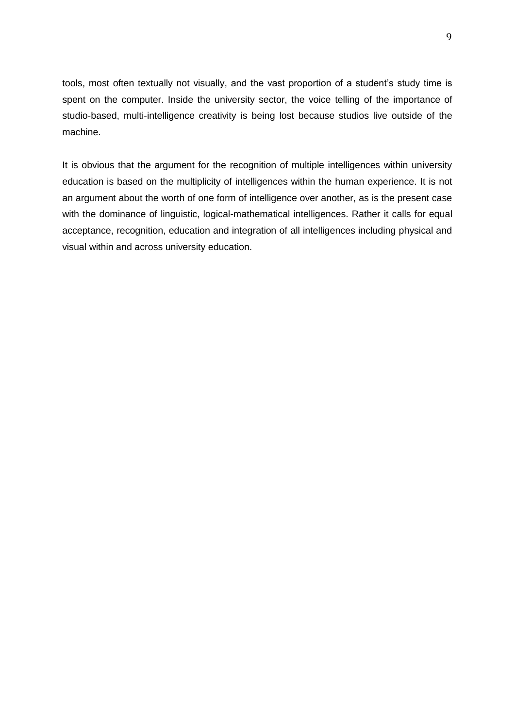tools, most often textually not visually, and the vast proportion of a student's study time is spent on the computer. Inside the university sector, the voice telling of the importance of studio-based, multi-intelligence creativity is being lost because studios live outside of the machine.

It is obvious that the argument for the recognition of multiple intelligences within university education is based on the multiplicity of intelligences within the human experience. It is not an argument about the worth of one form of intelligence over another, as is the present case with the dominance of linguistic, logical-mathematical intelligences. Rather it calls for equal acceptance, recognition, education and integration of all intelligences including physical and visual within and across university education.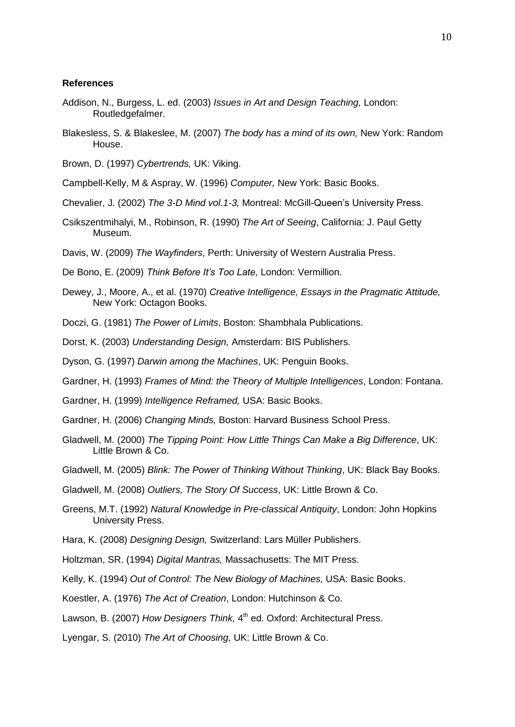### **References**

- Addison, N., Burgess, L. ed. (2003) *Issues in Art and Design Teaching,* London: Routledgefalmer.
- Blakesless, S. & Blakeslee, M. (2007) *The body has a mind of its own,* New York: Random House.
- Brown, D. (1997) *Cybertrends,* UK: Viking.
- Campbell-Kelly, M & Aspray, W. (1996) *Computer,* New York: Basic Books.
- Chevalier, J. (2002) *The 3-D Mind vol.1-3,* Montreal: McGill-Queen's University Press.
- Csikszentmihalyi, M., Robinson, R. (1990) *The Art of Seeing*, California: J. Paul Getty Museum.
- Davis, W. (2009) *The Wayfinders*, Perth: University of Western Australia Press.
- De Bono, E. (2009) *Think Before It's Too Late,* London: Vermillion.
- Dewey, J., Moore, A., et al. (1970) *Creative Intelligence, Essays in the Pragmatic Attitude,*  New York: Octagon Books.
- Doczi, G. (1981) *The Power of Limits*, Boston: Shambhala Publications.
- Dorst, K. (2003) *Understanding Design,* Amsterdam: BIS Publishers.
- Dyson, G. (1997) *Darwin among the Machines*, UK: Penguin Books.
- Gardner, H. (1993) *Frames of Mind: the Theory of Multiple Intelligences*, London: Fontana.
- Gardner, H. (1999) *Intelligence Reframed,* USA: Basic Books.
- Gardner, H. (2006) *Changing Minds,* Boston: Harvard Business School Press.
- Gladwell, M. (2000) *The Tipping Point: How Little Things Can Make a Big Difference*, UK: Little Brown & Co.
- Gladwell, M. (2005) *Blink: The Power of Thinking Without Thinking*, UK: Black Bay Books.
- Gladwell, M. (2008) *Outliers, The Story Of Success*, UK: Little Brown & Co.
- Greens, M.T. (1992) *Natural Knowledge in Pre-classical Antiquity*, London: John Hopkins University Press.
- Hara, K. (2008) *Designing Design,* Switzerland: Lars Müller Publishers.
- Holtzman, SR. (1994) *Digital Mantras,* Massachusetts: The MIT Press.
- Kelly, K. (1994) *Out of Control: The New Biology of Machines,* USA: Basic Books.
- Koestler, A. (1976) *The Act of Creation*, London: Hutchinson & Co.
- Lawson, B. (2007) How Designers Think, 4<sup>th</sup> ed. Oxford: Architectural Press.
- Lyengar, S. (2010) *The Art of Choosing*, UK: Little Brown & Co.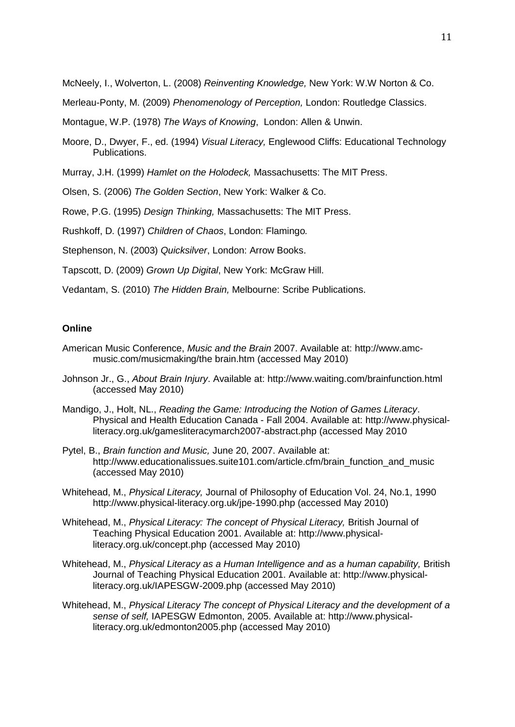McNeely, I., Wolverton, L. (2008) *Reinventing Knowledge,* New York: W.W Norton & Co.

Merleau-Ponty, M. (2009) *Phenomenology of Perception,* London: Routledge Classics.

Montague, W.P. (1978) *The Ways of Knowing*, London: Allen & Unwin.

Moore, D., Dwyer, F., ed. (1994) *Visual Literacy,* Englewood Cliffs: Educational Technology Publications.

Murray, J.H. (1999) *Hamlet on the Holodeck,* Massachusetts: The MIT Press.

Olsen, S. (2006) *The Golden Section*, New York: Walker & Co.

Rowe, P.G. (1995) *Design Thinking,* Massachusetts: The MIT Press.

Rushkoff, D. (1997) *Children of Chaos*, London: Flamingo*.*

Stephenson, N. (2003) *Quicksilver*, London: Arrow Books.

Tapscott, D. (2009) *Grown Up Digital*, New York: McGraw Hill.

Vedantam, S. (2010) *The Hidden Brain,* Melbourne: Scribe Publications.

### **Online**

- American Music Conference, *Music and the Brain* 2007. Available at: http://www.amcmusic.com/musicmaking/the brain.htm (accessed May 2010)
- Johnson Jr., G., *About Brain Injury*. Available at: http://www.waiting.com/brainfunction.html (accessed May 2010)
- Mandigo, J., Holt, NL., *Reading the Game: Introducing the Notion of Games Literacy*. Physical and Health Education Canada - Fall 2004. Available at: http://www.physicalliteracy.org.uk/gamesliteracymarch2007-abstract.php (accessed May 2010
- Pytel, B., *Brain function and Music,* June 20, 2007. Available at: http://www.educationalissues.suite101.com/article.cfm/brain\_function\_and\_music (accessed May 2010)
- Whitehead, M., *Physical Literacy,* Journal of Philosophy of Education Vol. 24, No.1, 1990 http://www.physical-literacy.org.uk/jpe-1990.php (accessed May 2010)
- Whitehead, M., *Physical Literacy: The concept of Physical Literacy,* British Journal of Teaching Physical Education 2001. Available at: http://www.physicalliteracy.org.uk/concept.php (accessed May 2010)
- Whitehead, M., *Physical Literacy as a Human Intelligence and as a human capability,* British Journal of Teaching Physical Education 2001. Available at: http://www.physicalliteracy.org.uk/IAPESGW-2009.php (accessed May 2010)
- Whitehead, M., *Physical Literacy The concept of Physical Literacy and the development of a sense of self,* IAPESGW Edmonton, 2005. Available at: http://www.physicalliteracy.org.uk/edmonton2005.php (accessed May 2010)